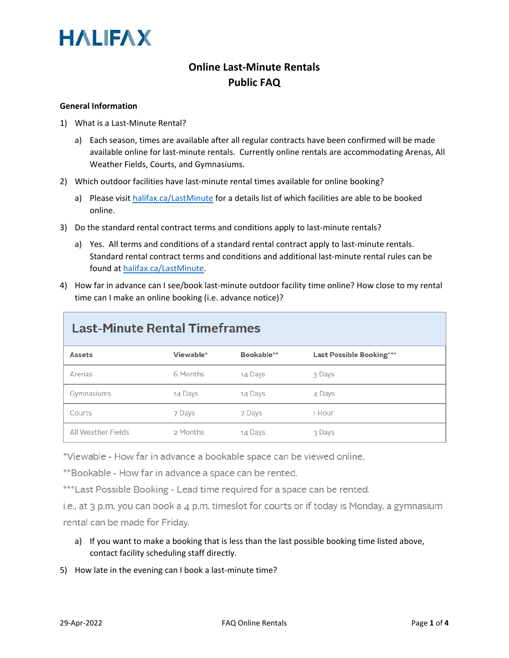

### **Online Last-Minute Rentals Public FAQ**

#### **General Information**

- 1) What is a Last-Minute Rental?
	- a) Each season, times are available after all regular contracts have been confirmed will be made available online for last-minute rentals. Currently online rentals are accommodating Arenas, All Weather Fields, Courts, and Gymnasiums.
- 2) Which outdoor facilities have last-minute rental times available for online booking?
	- a) Please visi[t halifax.ca/LastMinute](http://www.halifax.ca/LastMinute) for a details list of which facilities are able to be booked online.
- 3) Do the standard rental contract terms and conditions apply to last-minute rentals?
	- a) Yes. All terms and conditions of a standard rental contract apply to last-minute rentals. Standard rental contract terms and conditions and additional last-minute rental rules can be found at [halifax.ca/LastMinute.](http://www.halifax.ca/LastMinute)
- 4) How far in advance can I see/book last-minute outdoor facility time online? How close to my rental time can I make an online booking (i.e. advance notice)?

| <b>Last-Minute Rental Timeframes</b> |           |            |                                 |
|--------------------------------------|-----------|------------|---------------------------------|
| <b>Assets</b>                        | Viewable* | Bookable** | <b>Last Possible Booking***</b> |
| Arenas                               | 6 Months  | 14 Days    | 3 Days                          |
| Gymnasiums                           | 14 Days   | 14 Days    | 4 Days                          |
| Courts                               | 7 Days    | 7 Days     | 1 Hour                          |
| All Weather Fields                   | 2 Months  | 14 Days    | 3 Days                          |

\*Viewable - How far in advance a bookable space can be viewed online.

\*\*Bookable - How far in advance a space can be rented.

\*\*\*Last Possible Booking - Lead time required for a space can be rented.

i.e., at  $3$  p.m. you can book a  $4$  p.m. timeslot for courts or if today is Monday, a gymnasium rental can be made for Friday.

- a) If you want to make a booking that is less than the last possible booking time listed above, contact facility scheduling staff directly.
- 5) How late in the evening can I book a last-minute time?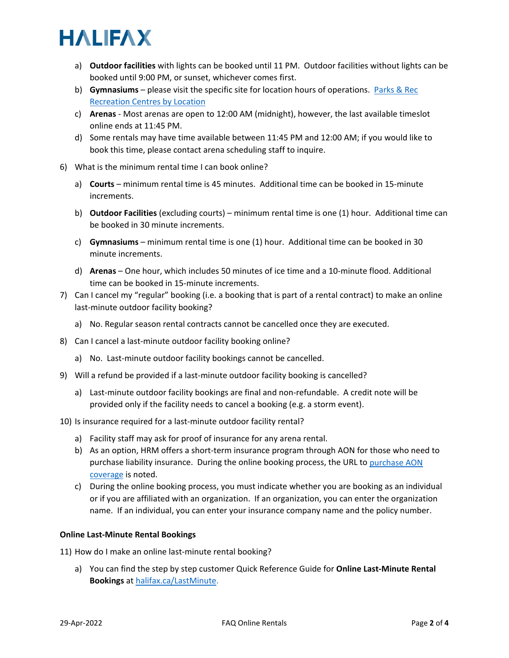# **HALIFAX**

- a) **Outdoor facilities** with lights can be booked until 11 PM. Outdoor facilities without lights can be booked until 9:00 PM, or sunset, whichever comes first.
- b) **Gymnasiums** please visit the specific site for location hours of operations. [Parks & Rec](https://www.halifax.ca/parks-recreation/programs-activities/recreation-centres-your-community)  [Recreation Centres by Location](https://www.halifax.ca/parks-recreation/programs-activities/recreation-centres-your-community)
- c) **Arenas** Most arenas are open to 12:00 AM (midnight), however, the last available timeslot online ends at 11:45 PM.
- d) Some rentals may have time available between 11:45 PM and 12:00 AM; if you would like to book this time, please contact arena scheduling staff to inquire.
- 6) What is the minimum rental time I can book online?
	- a) **Courts** minimum rental time is 45 minutes. Additional time can be booked in 15-minute increments.
	- b) **Outdoor Facilities** (excluding courts) minimum rental time is one (1) hour. Additional time can be booked in 30 minute increments.
	- c) **Gymnasiums** minimum rental time is one (1) hour. Additional time can be booked in 30 minute increments.
	- d) **Arenas** One hour, which includes 50 minutes of ice time and a 10-minute flood. Additional time can be booked in 15-minute increments.
- 7) Can I cancel my "regular" booking (i.e. a booking that is part of a rental contract) to make an online last-minute outdoor facility booking?
	- a) No. Regular season rental contracts cannot be cancelled once they are executed.
- 8) Can I cancel a last-minute outdoor facility booking online?
	- a) No. Last-minute outdoor facility bookings cannot be cancelled.
- 9) Will a refund be provided if a last-minute outdoor facility booking is cancelled?
	- a) Last-minute outdoor facility bookings are final and non-refundable. A credit note will be provided only if the facility needs to cancel a booking (e.g. a storm event).
- 10) Is insurance required for a last-minute outdoor facility rental?
	- a) Facility staff may ask for proof of insurance for any arena rental.
	- b) As an option, HRM offers a short-term insurance program through AON for those who need to purchase liability insurance. During the online booking process, the URL t[o purchase AON](https://programs.aon.ca/authentication/event-insure/account/signin2-en.html)  [coverage](https://programs.aon.ca/authentication/event-insure/account/signin2-en.html) is noted.
	- c) During the online booking process, you must indicate whether you are booking as an individual or if you are affiliated with an organization. If an organization, you can enter the organization name. If an individual, you can enter your insurance company name and the policy number.

### **Online Last-Minute Rental Bookings**

- 11) How do I make an online last-minute rental booking?
	- a) You can find the step by step customer Quick Reference Guide for **Online Last-Minute Rental Bookings** at [halifax.ca/LastMinute.](https://www.halifax.ca/LastMinute)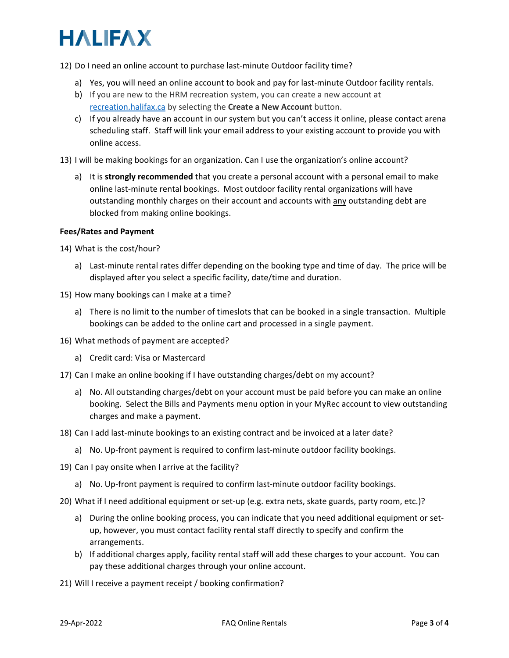# **HALIFAX**

12) Do I need an online account to purchase last-minute Outdoor facility time?

- a) Yes, you will need an online account to book and pay for last-minute Outdoor facility rentals.
- b) If you are new to the HRM recreation system, you can create a new account at [recreation.halifax.ca](https://recreation.halifax.ca/enterprise/account/login) by selecting the **Create a New Account** button.
- c) If you already have an account in our system but you can't access it online, please contact arena scheduling staff. Staff will link your email address to your existing account to provide you with online access.
- 13) I will be making bookings for an organization. Can I use the organization's online account?
	- a) It is **strongly recommended** that you create a personal account with a personal email to make online last-minute rental bookings. Most outdoor facility rental organizations will have outstanding monthly charges on their account and accounts with any outstanding debt are blocked from making online bookings.

### **Fees/Rates and Payment**

14) What is the cost/hour?

- a) Last-minute rental rates differ depending on the booking type and time of day. The price will be displayed after you select a specific facility, date/time and duration.
- 15) How many bookings can I make at a time?
	- a) There is no limit to the number of timeslots that can be booked in a single transaction. Multiple bookings can be added to the online cart and processed in a single payment.
- 16) What methods of payment are accepted?
	- a) Credit card: Visa or Mastercard
- 17) Can I make an online booking if I have outstanding charges/debt on my account?
	- a) No. All outstanding charges/debt on your account must be paid before you can make an online booking. Select the Bills and Payments menu option in your MyRec account to view outstanding charges and make a payment.
- 18) Can I add last-minute bookings to an existing contract and be invoiced at a later date?
	- a) No. Up-front payment is required to confirm last-minute outdoor facility bookings.
- 19) Can I pay onsite when I arrive at the facility?
	- a) No. Up-front payment is required to confirm last-minute outdoor facility bookings.
- 20) What if I need additional equipment or set-up (e.g. extra nets, skate guards, party room, etc.)?
	- a) During the online booking process, you can indicate that you need additional equipment or setup, however, you must contact facility rental staff directly to specify and confirm the arrangements.
	- b) If additional charges apply, facility rental staff will add these charges to your account. You can pay these additional charges through your online account.

21) Will I receive a payment receipt / booking confirmation?